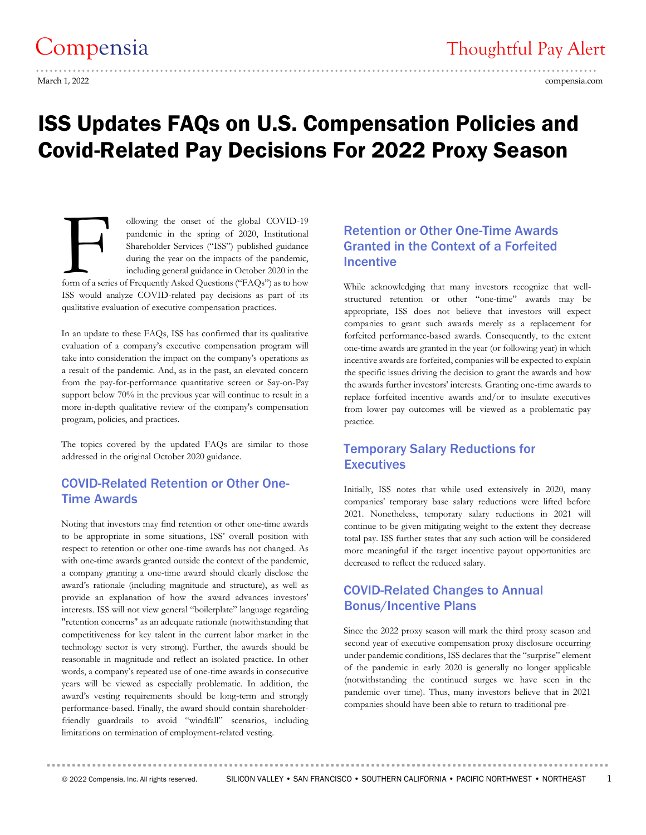# ISS Updates FAQs on U.S. Compensation Policies and Covid-Related Pay Decisions For 2022 Proxy Season

ollowing the onset of the global COVID-19 pandemic in the spring of 2020, Institutional Shareholder Services ("ISS") published guidance during the year on the impacts of the pandemic, including general guidance in October 2020 in the ollowing the onset of the global COVID-19<br>pandemic in the spring of 2020, Institutional<br>Shareholder Services ("ISS") published guidance<br>during the year on the impacts of the pandemic,<br>including general guidance in October ISS would analyze COVID-related pay decisions as part of its qualitative evaluation of executive compensation practices.

In an update to these FAQs, ISS has confirmed that its qualitative evaluation of a company's executive compensation program will take into consideration the impact on the company's operations as a result of the pandemic. And, as in the past, an elevated concern from the pay-for-performance quantitative screen or Say-on-Pay support below 70% in the previous year will continue to result in a more in-depth qualitative review of the company's compensation program, policies, and practices.

The topics covered by the updated FAQs are similar to those addressed in the original October 2020 guidance.

### COVID-Related Retention or Other One-Time Awards

Noting that investors may find retention or other one-time awards to be appropriate in some situations, ISS' overall position with respect to retention or other one-time awards has not changed. As with one-time awards granted outside the context of the pandemic, a company granting a one-time award should clearly disclose the award's rationale (including magnitude and structure), as well as provide an explanation of how the award advances investors' interests. ISS will not view general "boilerplate" language regarding "retention concerns" as an adequate rationale (notwithstanding that competitiveness for key talent in the current labor market in the technology sector is very strong). Further, the awards should be reasonable in magnitude and reflect an isolated practice. In other words, a company's repeated use of one-time awards in consecutive years will be viewed as especially problematic. In addition, the award's vesting requirements should be long-term and strongly performance-based. Finally, the award should contain shareholderfriendly guardrails to avoid "windfall" scenarios, including limitations on termination of employment-related vesting.

### Retention or Other One-Time Awards Granted in the Context of a Forfeited **Incentive**

While acknowledging that many investors recognize that wellstructured retention or other "one-time" awards may be appropriate, ISS does not believe that investors will expect companies to grant such awards merely as a replacement for forfeited performance-based awards. Consequently, to the extent one-time awards are granted in the year (or following year) in which incentive awards are forfeited, companies will be expected to explain the specific issues driving the decision to grant the awards and how the awards further investors' interests. Granting one-time awards to replace forfeited incentive awards and/or to insulate executives from lower pay outcomes will be viewed as a problematic pay practice.

### Temporary Salary Reductions for **Executives**

Initially, ISS notes that while used extensively in 2020, many companies' temporary base salary reductions were lifted before 2021. Nonetheless, temporary salary reductions in 2021 will continue to be given mitigating weight to the extent they decrease total pay. ISS further states that any such action will be considered more meaningful if the target incentive payout opportunities are decreased to reflect the reduced salary.

### COVID-Related Changes to Annual Bonus/Incentive Plans

Since the 2022 proxy season will mark the third proxy season and second year of executive compensation proxy disclosure occurring under pandemic conditions, ISS declares that the "surprise" element of the pandemic in early 2020 is generally no longer applicable (notwithstanding the continued surges we have seen in the pandemic over time). Thus, many investors believe that in 2021 companies should have been able to return to traditional pre-

**...............................................................................................................**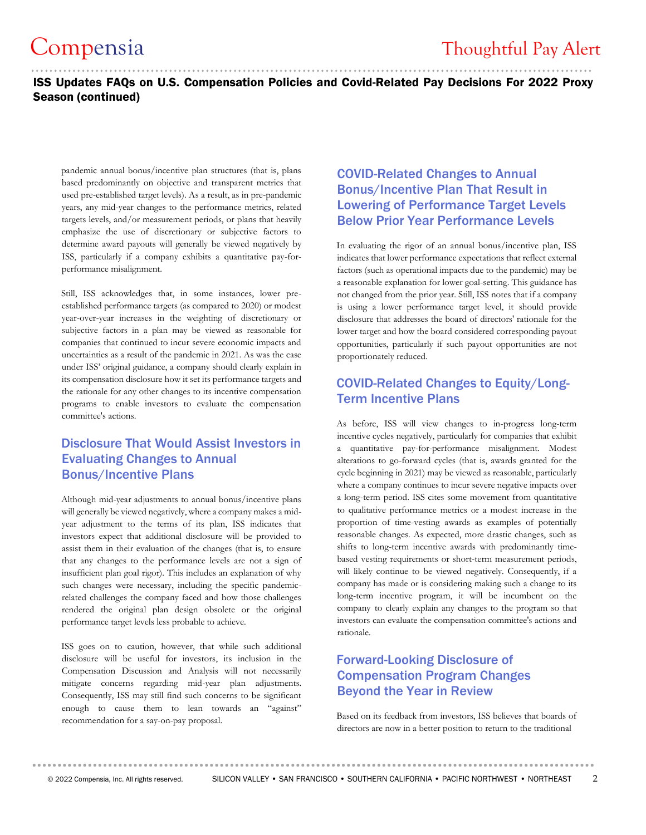### .......................................................................................................................... ISS Updates FAQs on U.S. Compensation Policies and Covid-Related Pay Decisions For 2022 Proxy Season (continued)

pandemic annual bonus/incentive plan structures (that is, plans based predominantly on objective and transparent metrics that used pre-established target levels). As a result, as in pre-pandemic years, any mid-year changes to the performance metrics, related targets levels, and/or measurement periods, or plans that heavily emphasize the use of discretionary or subjective factors to determine award payouts will generally be viewed negatively by ISS, particularly if a company exhibits a quantitative pay-forperformance misalignment.

Still, ISS acknowledges that, in some instances, lower preestablished performance targets (as compared to 2020) or modest year-over-year increases in the weighting of discretionary or subjective factors in a plan may be viewed as reasonable for companies that continued to incur severe economic impacts and uncertainties as a result of the pandemic in 2021. As was the case under ISS' original guidance, a company should clearly explain in its compensation disclosure how it set its performance targets and the rationale for any other changes to its incentive compensation programs to enable investors to evaluate the compensation committee's actions.

### Disclosure That Would Assist Investors in Evaluating Changes to Annual Bonus/Incentive Plans

Although mid-year adjustments to annual bonus/incentive plans will generally be viewed negatively, where a company makes a midyear adjustment to the terms of its plan, ISS indicates that investors expect that additional disclosure will be provided to assist them in their evaluation of the changes (that is, to ensure that any changes to the performance levels are not a sign of insufficient plan goal rigor). This includes an explanation of why such changes were necessary, including the specific pandemicrelated challenges the company faced and how those challenges rendered the original plan design obsolete or the original performance target levels less probable to achieve.

ISS goes on to caution, however, that while such additional disclosure will be useful for investors, its inclusion in the Compensation Discussion and Analysis will not necessarily mitigate concerns regarding mid-year plan adjustments. Consequently, ISS may still find such concerns to be significant enough to cause them to lean towards an "against" recommendation for a say-on-pay proposal.

### COVID-Related Changes to Annual Bonus/Incentive Plan That Result in Lowering of Performance Target Levels Below Prior Year Performance Levels

In evaluating the rigor of an annual bonus/incentive plan, ISS indicates that lower performance expectations that reflect external factors (such as operational impacts due to the pandemic) may be a reasonable explanation for lower goal-setting. This guidance has not changed from the prior year. Still, ISS notes that if a company is using a lower performance target level, it should provide disclosure that addresses the board of directors' rationale for the lower target and how the board considered corresponding payout opportunities, particularly if such payout opportunities are not proportionately reduced.

### COVID-Related Changes to Equity/Long-Term Incentive Plans

As before, ISS will view changes to in-progress long-term incentive cycles negatively, particularly for companies that exhibit a quantitative pay-for-performance misalignment. Modest alterations to go-forward cycles (that is, awards granted for the cycle beginning in 2021) may be viewed as reasonable, particularly where a company continues to incur severe negative impacts over a long-term period. ISS cites some movement from quantitative to qualitative performance metrics or a modest increase in the proportion of time-vesting awards as examples of potentially reasonable changes. As expected, more drastic changes, such as shifts to long-term incentive awards with predominantly timebased vesting requirements or short-term measurement periods, will likely continue to be viewed negatively. Consequently, if a company has made or is considering making such a change to its long-term incentive program, it will be incumbent on the company to clearly explain any changes to the program so that investors can evaluate the compensation committee's actions and rationale.

### Forward-Looking Disclosure of Compensation Program Changes Beyond the Year in Review

Based on its feedback from investors, ISS believes that boards of directors are now in a better position to return to the traditional

**...............................................................................................................**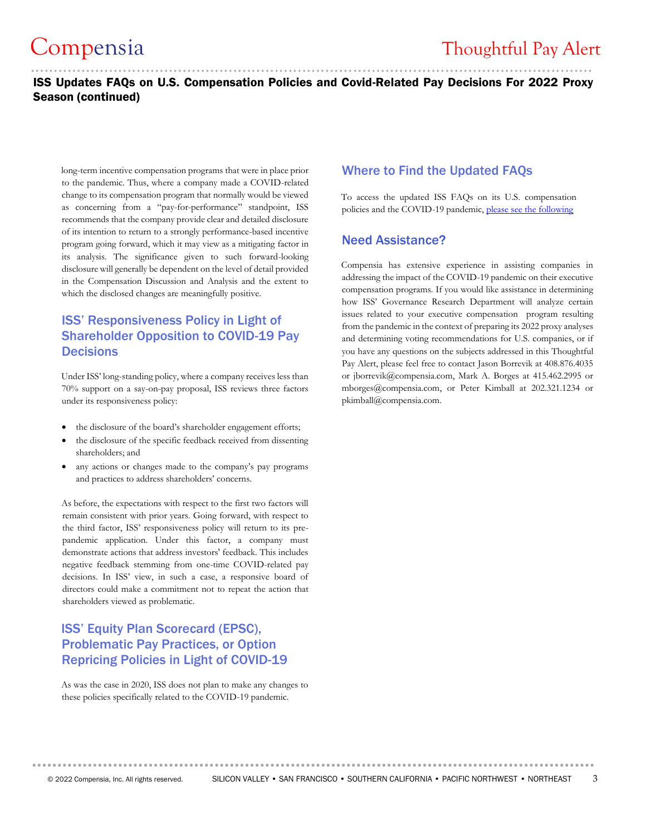# ..........................................................................................................................

### Compensia Thoughtful Pay Alert

### ISS Updates FAQs on U.S. Compensation Policies and Covid-Related Pay Decisions For 2022 Proxy Season (continued)

long-term incentive compensation programs that were in place prior to the pandemic. Thus, where a company made a COVID-related change to its compensation program that normally would be viewed as concerning from a "pay-for-performance" standpoint, ISS recommends that the company provide clear and detailed disclosure of its intention to return to a strongly performance-based incentive program going forward, which it may view as a mitigating factor in its analysis. The significance given to such forward-looking disclosure will generally be dependent on the level of detail provided in the Compensation Discussion and Analysis and the extent to which the disclosed changes are meaningfully positive.

### ISS' Responsiveness Policy in Light of Shareholder Opposition to COVID-19 Pay **Decisions**

Under ISS' long-standing policy, where a company receives less than 70% support on a say-on-pay proposal, ISS reviews three factors under its responsiveness policy:

- the disclosure of the board's shareholder engagement efforts;
- the disclosure of the specific feedback received from dissenting shareholders; and
- any actions or changes made to the company's pay programs and practices to address shareholders' concerns.

As before, the expectations with respect to the first two factors will remain consistent with prior years. Going forward, with respect to the third factor, ISS' responsiveness policy will return to its prepandemic application. Under this factor, a company must demonstrate actions that address investors' feedback. This includes negative feedback stemming from one-time COVID-related pay decisions. In ISS' view, in such a case, a responsive board of directors could make a commitment not to repeat the action that shareholders viewed as problematic.

### ISS' Equity Plan Scorecard (EPSC), Problematic Pay Practices, or Option Repricing Policies in Light of COVID-19

As was the case in 2020, ISS does not plan to make any changes to these policies specifically related to the COVID-19 pandemic.

### Where to Find the Updated FAQs

To access the updated ISS FAQs on its U.S. compensation policies and the COVID-19 pandemic, [please see the following](https://www.issgovernance.com/file/policy/latest/americas/US-Compensation-Policies-and-the-COVID-19-Pandemic.pdf)

#### Need Assistance?

Compensia has extensive experience in assisting companies in addressing the impact of the COVID-19 pandemic on their executive compensation programs. If you would like assistance in determining how ISS' Governance Research Department will analyze certain issues related to your executive compensation program resulting from the pandemic in the context of preparing its 2022 proxy analyses and determining voting recommendations for U.S. companies, or if you have any questions on the subjects addressed in this Thoughtful Pay Alert, please feel free to contact Jason Borrevik at 408.876.4035 or jborrevik@compensia.com, Mark A. Borges at 415.462.2995 or mborges@compensia.com, or Peter Kimball at 202.321.1234 or pkimball@compensia.com.

**...............................................................................................................**